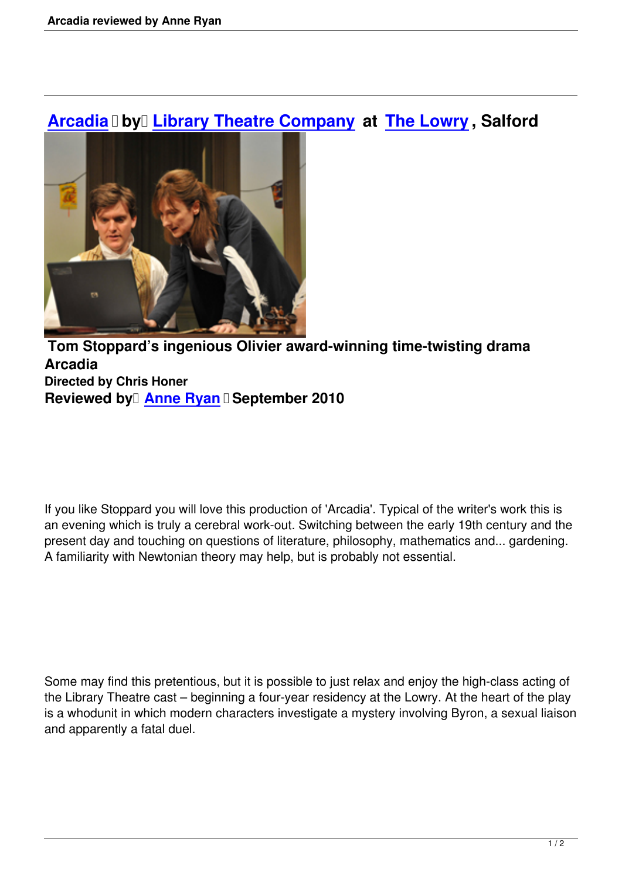## **Arcadia Dy Library Theatre Company at The Lowry**, Salford



## **Tom Stoppard's ingenious Olivier award-winning time-twisting drama Arcadia Directed by Chris Honer Reviewed by Anne Ryan Beptember 2010**

If you like Stoppard you will love this production of 'Arcadia'. Typical of the writer's work this is an evening which is truly a cerebral work-out. Switching between the early 19th century and the present day and touching on questions of literature, philosophy, mathematics and... gardening. A familiarity with Newtonian theory may help, but is probably not essential.

Some may find this pretentious, but it is possible to just relax and enjoy the high-class acting of the Library Theatre cast – beginning a four-year residency at the Lowry. At the heart of the play is a whodunit in which modern characters investigate a mystery involving Byron, a sexual liaison and apparently a fatal duel.